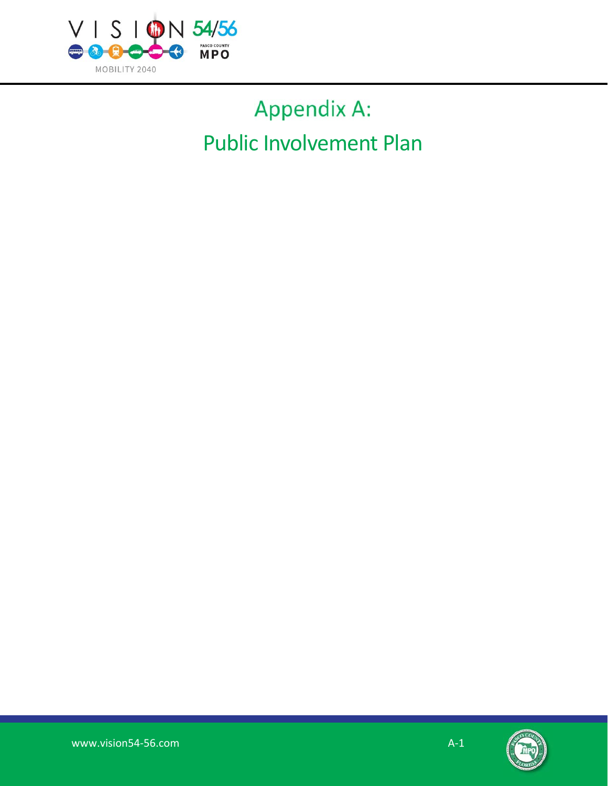

# Appendix A: Public Involvement Plan

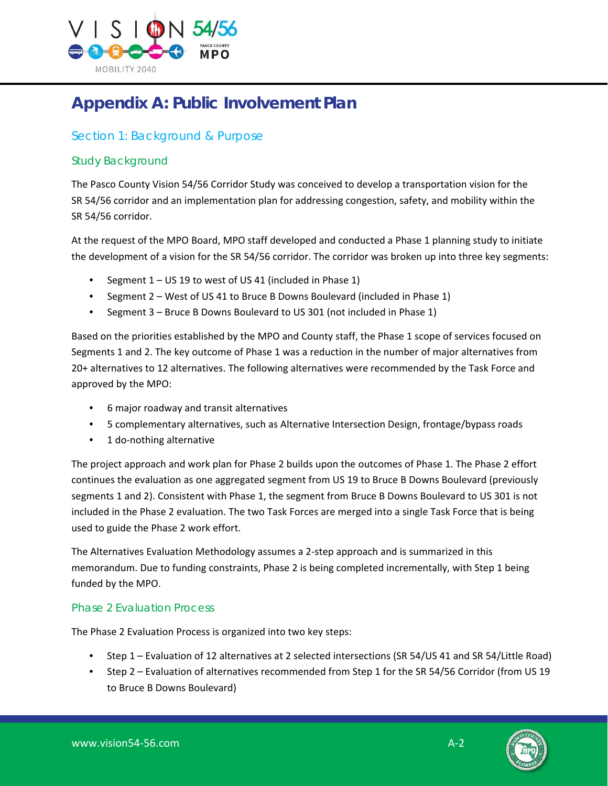

# **Appendix A: Public Involvement Plan**

# Section 1: Background & Purpose

# Study Background

The Pasco County Vision 54/56 Corridor Study was conceived to develop a transportation vision for the SR 54/56 corridor and an implementation plan for addressing congestion, safety, and mobility within the SR 54/56 corridor.

At the request of the MPO Board, MPO staff developed and conducted a Phase 1 planning study to initiate the development of a vision for the SR 54/56 corridor. The corridor was broken up into three key segments:

- Segment 1 US 19 to west of US 41 (included in Phase 1)
- Segment 2 West of US 41 to Bruce B Downs Boulevard (included in Phase 1)
- Segment 3 Bruce B Downs Boulevard to US 301 (not included in Phase 1)

Based on the priorities established by the MPO and County staff, the Phase 1 scope of services focused on Segments 1 and 2. The key outcome of Phase 1 was a reduction in the number of major alternatives from 20+ alternatives to 12 alternatives. The following alternatives were recommended by the Task Force and approved by the MPO:

- 6 major roadway and transit alternatives
- 5 complementary alternatives, such as Alternative Intersection Design, frontage/bypass roads
- 1 do‐nothing alternative

The project approach and work plan for Phase 2 builds upon the outcomes of Phase 1. The Phase 2 effort continues the evaluation as one aggregated segment from US 19 to Bruce B Downs Boulevard (previously segments 1 and 2). Consistent with Phase 1, the segment from Bruce B Downs Boulevard to US 301 is not included in the Phase 2 evaluation. The two Task Forces are merged into a single Task Force that is being used to guide the Phase 2 work effort.

The Alternatives Evaluation Methodology assumes a 2‐step approach and is summarized in this memorandum. Due to funding constraints, Phase 2 is being completed incrementally, with Step 1 being funded by the MPO.

# Phase 2 Evaluation Process

The Phase 2 Evaluation Process is organized into two key steps:

- Step 1 Evaluation of 12 alternatives at 2 selected intersections (SR 54/US 41 and SR 54/Little Road)
- Step 2 Evaluation of alternatives recommended from Step 1 for the SR 54/56 Corridor (from US 19 to Bruce B Downs Boulevard)

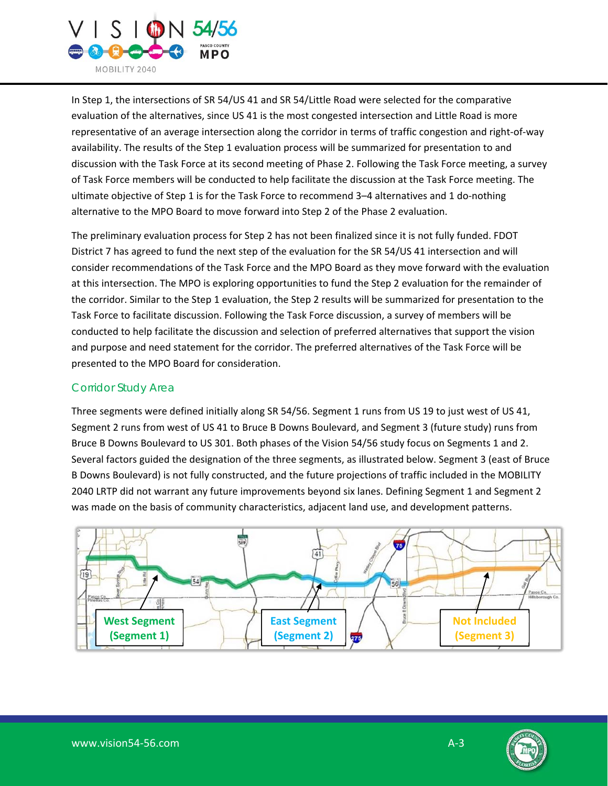

In Step 1, the intersections of SR 54/US 41 and SR 54/Little Road were selected for the comparative evaluation of the alternatives, since US 41 is the most congested intersection and Little Road is more representative of an average intersection along the corridor in terms of traffic congestion and right‐of‐way availability. The results of the Step 1 evaluation process will be summarized for presentation to and discussion with the Task Force at its second meeting of Phase 2. Following the Task Force meeting, a survey of Task Force members will be conducted to help facilitate the discussion at the Task Force meeting. The ultimate objective of Step 1 is for the Task Force to recommend 3–4 alternatives and 1 do-nothing alternative to the MPO Board to move forward into Step 2 of the Phase 2 evaluation.

The preliminary evaluation process for Step 2 has not been finalized since it is not fully funded. FDOT District 7 has agreed to fund the next step of the evaluation for the SR 54/US 41 intersection and will consider recommendations of the Task Force and the MPO Board as they move forward with the evaluation at this intersection. The MPO is exploring opportunities to fund the Step 2 evaluation for the remainder of the corridor. Similar to the Step 1 evaluation, the Step 2 results will be summarized for presentation to the Task Force to facilitate discussion. Following the Task Force discussion, a survey of members will be conducted to help facilitate the discussion and selection of preferred alternatives that support the vision and purpose and need statement for the corridor. The preferred alternatives of the Task Force will be presented to the MPO Board for consideration.

# Corridor Study Area

Three segments were defined initially along SR 54/56. Segment 1 runs from US 19 to just west of US 41, Segment 2 runs from west of US 41 to Bruce B Downs Boulevard, and Segment 3 (future study) runs from Bruce B Downs Boulevard to US 301. Both phases of the Vision 54/56 study focus on Segments 1 and 2. Several factors guided the designation of the three segments, as illustrated below. Segment 3 (east of Bruce B Downs Boulevard) is not fully constructed, and the future projections of traffic included in the MOBILITY 2040 LRTP did not warrant any future improvements beyond six lanes. Defining Segment 1 and Segment 2 was made on the basis of community characteristics, adjacent land use, and development patterns.



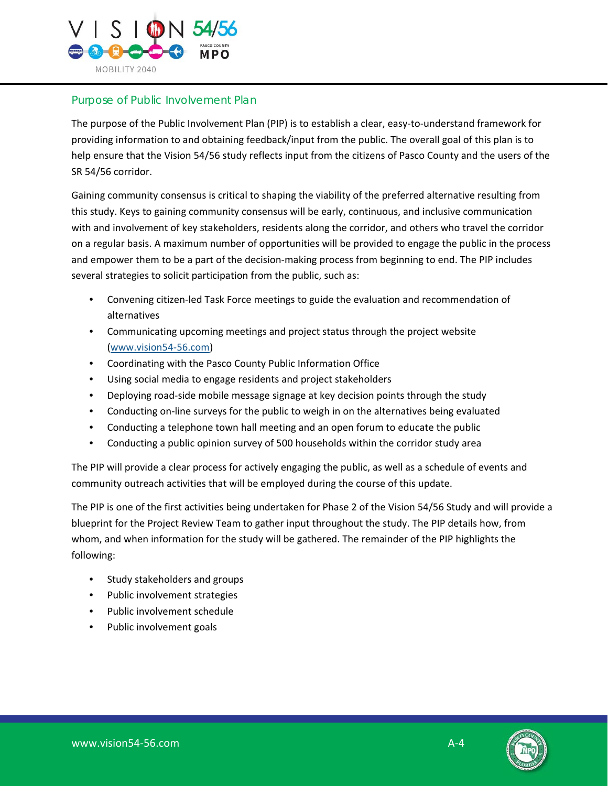

#### Purpose of Public Involvement Plan

The purpose of the Public Involvement Plan (PIP) is to establish a clear, easy-to-understand framework for providing information to and obtaining feedback/input from the public. The overall goal of this plan is to help ensure that the Vision 54/56 study reflects input from the citizens of Pasco County and the users of the SR 54/56 corridor.

Gaining community consensus is critical to shaping the viability of the preferred alternative resulting from this study. Keys to gaining community consensus will be early, continuous, and inclusive communication with and involvement of key stakeholders, residents along the corridor, and others who travel the corridor on a regular basis. A maximum number of opportunities will be provided to engage the public in the process and empower them to be a part of the decision-making process from beginning to end. The PIP includes several strategies to solicit participation from the public, such as:

- Convening citizen‐led Task Force meetings to guide the evaluation and recommendation of alternatives
- Communicating upcoming meetings and project status through the project website [\(www.vision54‐56.com\)](www.vision54-56.com)
- Coordinating with the Pasco County Public Information Office
- Using social media to engage residents and project stakeholders
- Deploying road-side mobile message signage at key decision points through the study
- Conducting on-line surveys for the public to weigh in on the alternatives being evaluated
- Conducting a telephone town hall meeting and an open forum to educate the public
- Conducting a public opinion survey of 500 households within the corridor study area

The PIP will provide a clear process for actively engaging the public, as well as a schedule of events and community outreach activities that will be employed during the course of this update.

The PIP is one of the first activities being undertaken for Phase 2 of the Vision 54/56 Study and will provide a blueprint for the Project Review Team to gather input throughout the study. The PIP details how, from whom, and when information for the study will be gathered. The remainder of the PIP highlights the following:

- Study stakeholders and groups
- Public involvement strategies
- Public involvement schedule
- Public involvement goals

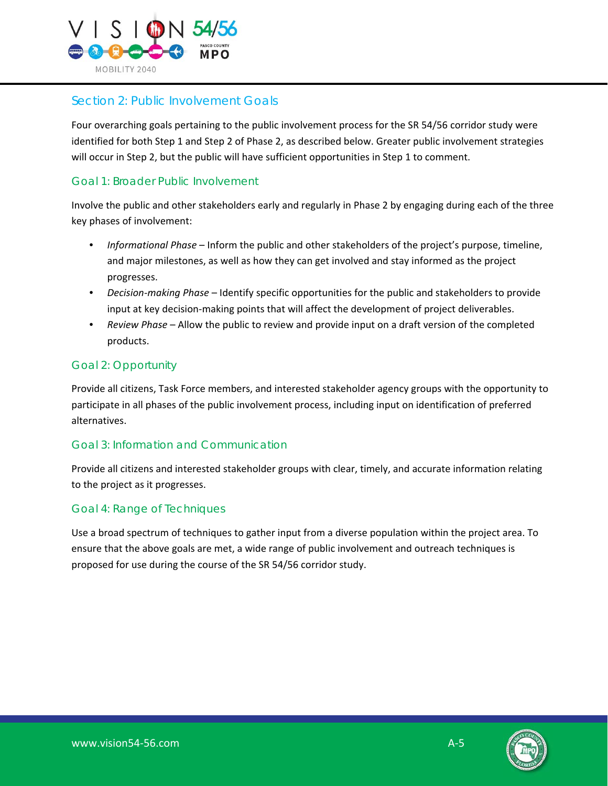

# Section 2: Public Involvement Goals

Four overarching goals pertaining to the public involvement process for the SR 54/56 corridor study were identified for both Step 1 and Step 2 of Phase 2, as described below. Greater public involvement strategies will occur in Step 2, but the public will have sufficient opportunities in Step 1 to comment.

#### Goal 1: Broader Public Involvement

Involve the public and other stakeholders early and regularly in Phase 2 by engaging during each of the three key phases of involvement:

- *Informational Phase* Inform the public and other stakeholders of the project's purpose, timeline, and major milestones, as well as how they can get involved and stay informed as the project progresses.
- *Decision‐making Phase* Identify specific opportunities for the public and stakeholders to provide input at key decision-making points that will affect the development of project deliverables.
- *Review Phase* Allow the public to review and provide input on a draft version of the completed products.

# Goal 2: Opportunity

Provide all citizens, Task Force members, and interested stakeholder agency groups with the opportunity to participate in all phases of the public involvement process, including input on identification of preferred alternatives.

# Goal 3: Information and Communication

Provide all citizens and interested stakeholder groups with clear, timely, and accurate information relating to the project as it progresses.

#### Goal 4: Range of Techniques

Use a broad spectrum of techniques to gather input from a diverse population within the project area. To ensure that the above goals are met, a wide range of public involvement and outreach techniques is proposed for use during the course of the SR 54/56 corridor study.

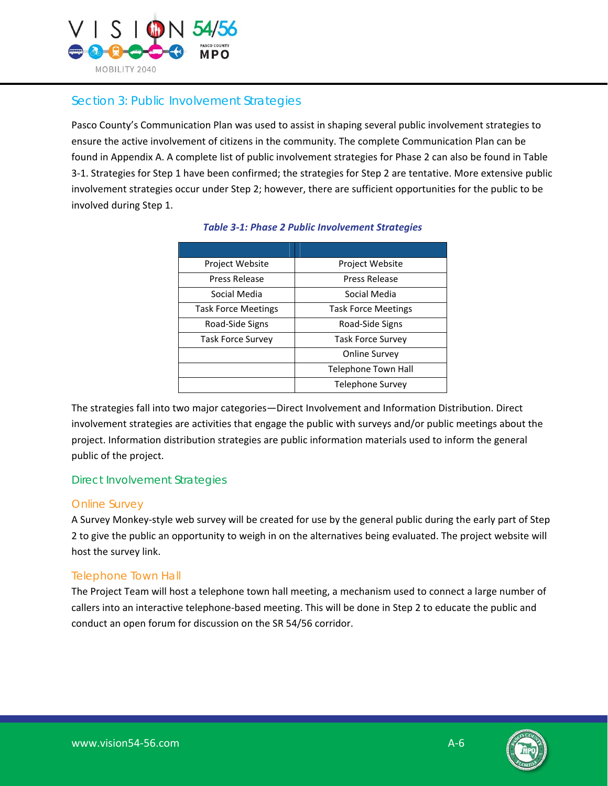

# Section 3: Public Involvement Strategies

Pasco County's Communication Plan was used to assist in shaping several public involvement strategies to ensure the active involvement of citizens in the community. The complete Communication Plan can be found in Appendix A. A complete list of public involvement strategies for Phase 2 can also be found in Table 3‐1. Strategies for Step 1 have been confirmed; the strategies for Step 2 are tentative. More extensive public involvement strategies occur under Step 2; however, there are sufficient opportunities for the public to be involved during Step 1.

| Project Website            | <b>Project Website</b>     |
|----------------------------|----------------------------|
| Press Release              | Press Release              |
| Social Media               | Social Media               |
| <b>Task Force Meetings</b> | <b>Task Force Meetings</b> |
| Road-Side Signs            | Road-Side Signs            |
| <b>Task Force Survey</b>   | <b>Task Force Survey</b>   |
|                            | Online Survey              |
|                            | Telephone Town Hall        |
|                            | Telephone Survey           |

#### *Table 3-1: Phase 2 Public Involvement Strategies*

The strategies fall into two major categories—Direct Involvement and Information Distribution. Direct involvement strategies are activities that engage the public with surveys and/or public meetings about the project. Information distribution strategies are public information materials used to inform the general public of the project.

# Direct Involvement Strategies

#### *Online Survey*

A Survey Monkey‐style web survey will be created for use by the general public during the early part of Step 2 to give the public an opportunity to weigh in on the alternatives being evaluated. The project website will host the survey link.

# *Telephone Town Hall*

The Project Team will host a telephone town hall meeting, a mechanism used to connect a large number of callers into an interactive telephone‐based meeting. This will be done in Step 2 to educate the public and conduct an open forum for discussion on the SR 54/56 corridor.

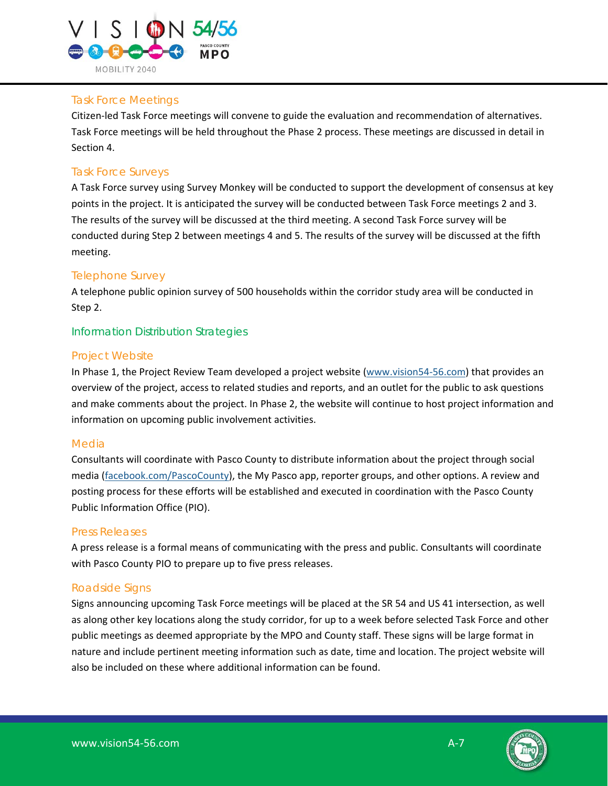

# *Task Force Meetings*

Citizen‐led Task Force meetings will convene to guide the evaluation and recommendation of alternatives. Task Force meetings will be held throughout the Phase 2 process. These meetings are discussed in detail in Section 4.

# *Task Force Surveys*

A Task Force survey using Survey Monkey will be conducted to support the development of consensus at key points in the project. It is anticipated the survey will be conducted between Task Force meetings 2 and 3. The results of the survey will be discussed at the third meeting. A second Task Force survey will be conducted during Step 2 between meetings 4 and 5. The results of the survey will be discussed at the fifth meeting.

# *Telephone Survey*

A telephone public opinion survey of 500 households within the corridor study area will be conducted in Step 2.

#### Information Distribution Strategies

#### *Project Website*

In Phase 1, the Project Review Team developed a project website [\(www.vision54‐56.com\)](www.vision54-56.com) that provides an overview of the project, access to related studies and reports, and an outlet for the public to ask questions and make comments about the project. In Phase 2, the website will continue to host project information and information on upcoming public involvement activities.

#### *Media*

Consultants will coordinate with Pasco County to distribute information about the project through social media [\(facebook.com/PascoCounty\),](facebook.com/PascoCounty) the My Pasco app, reporter groups, and other options. A review and posting process for these efforts will be established and executed in coordination with the Pasco County Public Information Office (PIO).

#### *Press Releases*

A press release is a formal means of communicating with the press and public. Consultants will coordinate with Pasco County PIO to prepare up to five press releases.

#### *Roadside Signs*

Signs announcing upcoming Task Force meetings will be placed at the SR 54 and US 41 intersection, as well as along other key locations along the study corridor, for up to a week before selected Task Force and other public meetings as deemed appropriate by the MPO and County staff. These signs will be large format in nature and include pertinent meeting information such as date, time and location. The project website will also be included on these where additional information can be found.

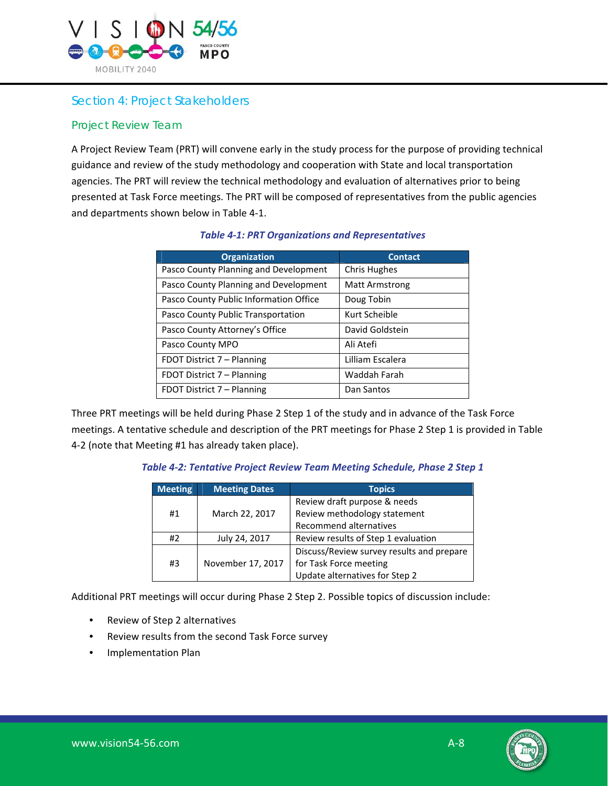

# Section 4: Project Stakeholders

#### Project Review Team

A Project Review Team (PRT) will convene early in the study process for the purpose of providing technical guidance and review of the study methodology and cooperation with State and local transportation agencies. The PRT will review the technical methodology and evaluation of alternatives prior to being presented at Task Force meetings. The PRT will be composed of representatives from the public agencies and departments shown below in Table 4‐1.

| <b>Organization</b>                    | <b>Contact</b>        |
|----------------------------------------|-----------------------|
| Pasco County Planning and Development  | <b>Chris Hughes</b>   |
| Pasco County Planning and Development  | <b>Matt Armstrong</b> |
| Pasco County Public Information Office | Doug Tobin            |
| Pasco County Public Transportation     | Kurt Scheible         |
| Pasco County Attorney's Office         | David Goldstein       |
| Pasco County MPO                       | Ali Atefi             |
| FDOT District 7 - Planning             | Lilliam Escalera      |
| FDOT District 7 - Planning             | Waddah Farah          |
| FDOT District 7 – Planning             | Dan Santos            |

#### *Table 4-1: PRT Organizations and Representatives*

Three PRT meetings will be held during Phase 2 Step 1 of the study and in advance of the Task Force meetings. A tentative schedule and description of the PRT meetings for Phase 2 Step 1 is provided in Table 4‐2 (note that Meeting #1 has already taken place).

#### *Table 4-2: Tentative Project Review Team Meeting Schedule, Phase 2 Step 1*

| <b>Meeting</b> | <b>Meeting Dates</b> | <b>Topics</b>                             |
|----------------|----------------------|-------------------------------------------|
|                |                      | Review draft purpose & needs              |
| #1             | March 22, 2017       | Review methodology statement              |
|                |                      | Recommend alternatives                    |
| #2             | July 24, 2017        | Review results of Step 1 evaluation       |
| #3             | November 17, 2017    | Discuss/Review survey results and prepare |
|                |                      | for Task Force meeting                    |
|                |                      | Update alternatives for Step 2            |

Additional PRT meetings will occur during Phase 2 Step 2. Possible topics of discussion include:

- Review of Step 2 alternatives
- Review results from the second Task Force survey
- Implementation Plan

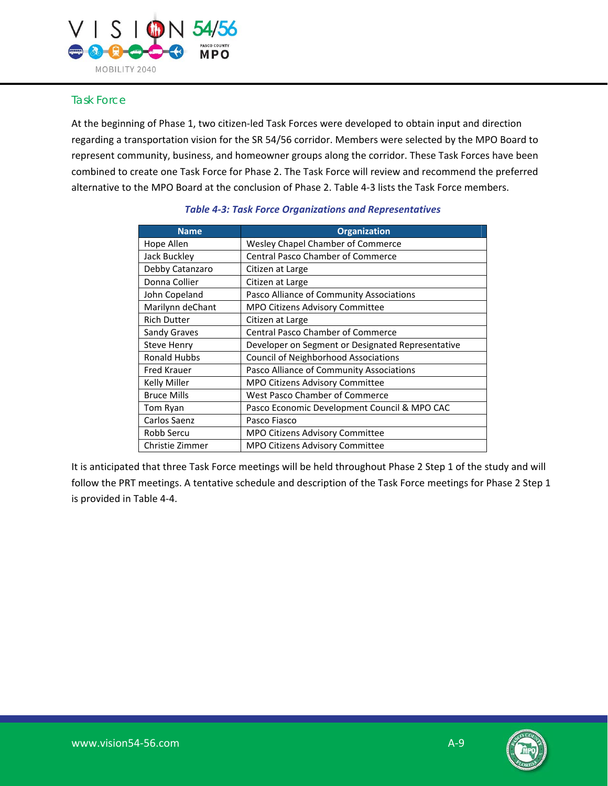

#### Task Force

At the beginning of Phase 1, two citizen‐led Task Forces were developed to obtain input and direction regarding a transportation vision for the SR 54/56 corridor. Members were selected by the MPO Board to represent community, business, and homeowner groups along the corridor. These Task Forces have been combined to create one Task Force for Phase 2. The Task Force will review and recommend the preferred alternative to the MPO Board at the conclusion of Phase 2. Table 4‐3 lists the Task Force members.

| <b>Name</b>         | <b>Organization</b>                               |
|---------------------|---------------------------------------------------|
| Hope Allen          | Wesley Chapel Chamber of Commerce                 |
| Jack Buckley        | <b>Central Pasco Chamber of Commerce</b>          |
| Debby Catanzaro     | Citizen at Large                                  |
| Donna Collier       | Citizen at Large                                  |
| John Copeland       | Pasco Alliance of Community Associations          |
| Marilynn deChant    | <b>MPO Citizens Advisory Committee</b>            |
| <b>Rich Dutter</b>  | Citizen at Large                                  |
| Sandy Graves        | <b>Central Pasco Chamber of Commerce</b>          |
| Steve Henry         | Developer on Segment or Designated Representative |
| <b>Ronald Hubbs</b> | <b>Council of Neighborhood Associations</b>       |
| <b>Fred Krauer</b>  | Pasco Alliance of Community Associations          |
| Kelly Miller        | MPO Citizens Advisory Committee                   |
| <b>Bruce Mills</b>  | <b>West Pasco Chamber of Commerce</b>             |
| Tom Ryan            | Pasco Economic Development Council & MPO CAC      |
| Carlos Saenz        | Pasco Fiasco                                      |
| Robb Sercu          | <b>MPO Citizens Advisory Committee</b>            |
| Christie Zimmer     | <b>MPO Citizens Advisory Committee</b>            |

#### *Table 4-3: Task Force Organizations and Representatives*

It is anticipated that three Task Force meetings will be held throughout Phase 2 Step 1 of the study and will follow the PRT meetings. A tentative schedule and description of the Task Force meetings for Phase 2 Step 1 is provided in Table 4‐4.

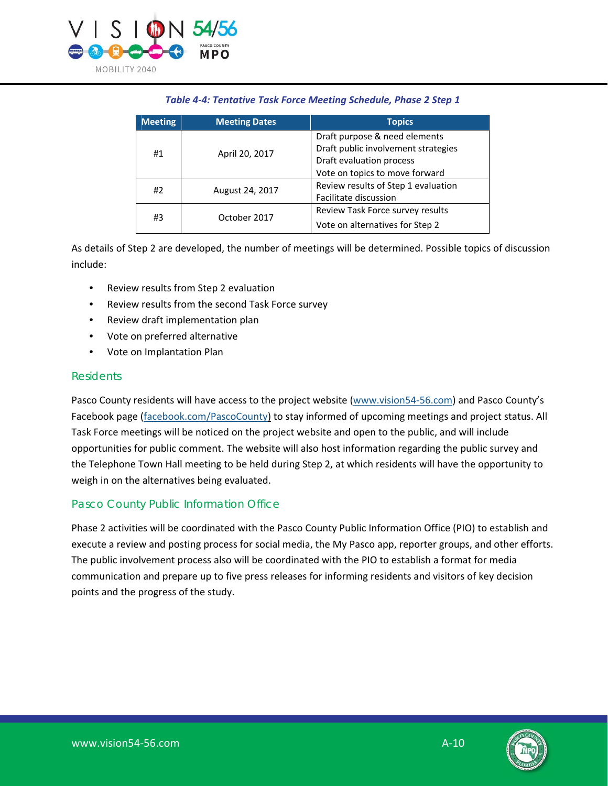

#### *Table 4-4: Tentative Task Force Meeting Schedule, Phase 2 Step 1*

| <b>Meeting</b> | <b>Meeting Dates</b> | <b>Topics</b>                       |
|----------------|----------------------|-------------------------------------|
| #1             | April 20, 2017       | Draft purpose & need elements       |
|                |                      | Draft public involvement strategies |
|                |                      | Draft evaluation process            |
|                |                      | Vote on topics to move forward      |
| #2             | August 24, 2017      | Review results of Step 1 evaluation |
|                |                      | Facilitate discussion               |
| #3             | October 2017         | Review Task Force survey results    |
|                |                      | Vote on alternatives for Step 2     |

As details of Step 2 are developed, the number of meetings will be determined. Possible topics of discussion include:

- Review results from Step 2 evaluation
- Review results from the second Task Force survey
- Review draft implementation plan
- Vote on preferred alternative
- Vote on Implantation Plan

#### **Residents**

Pasco County residents will have access to the project website [\(www.vision54‐56.com\) a](www.vision54-56.com)nd Pasco County's Facebook page [\(facebook.com/PascoCounty\)](facebook.com/PascoCounty) to stay informed of upcoming meetings and project status. All Task Force meetings will be noticed on the project website and open to the public, and will include opportunities for public comment. The website will also host information regarding the public survey and the Telephone Town Hall meeting to be held during Step 2, at which residents will have the opportunity to weigh in on the alternatives being evaluated.

#### Pasco County Public Information Office

Phase 2 activities will be coordinated with the Pasco County Public Information Office (PIO) to establish and execute a review and posting process for social media, the My Pasco app, reporter groups, and other efforts. The public involvement process also will be coordinated with the PIO to establish a format for media communication and prepare up to five press releases for informing residents and visitors of key decision points and the progress of the study.